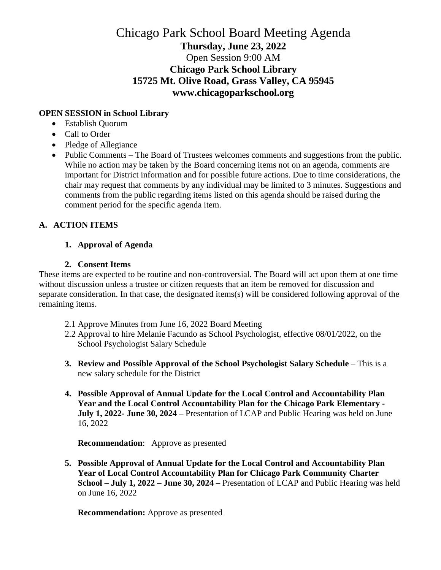# Chicago Park School Board Meeting Agenda **Thursday, June 23, 2022** Open Session 9:00 AM **Chicago Park School Library 15725 Mt. Olive Road, Grass Valley, CA 95945 www.chicagoparkschool.org**

### **OPEN SESSION in School Library**

- Establish Quorum
- Call to Order
- Pledge of Allegiance
- Public Comments The Board of Trustees welcomes comments and suggestions from the public. While no action may be taken by the Board concerning items not on an agenda, comments are important for District information and for possible future actions. Due to time considerations, the chair may request that comments by any individual may be limited to 3 minutes. Suggestions and comments from the public regarding items listed on this agenda should be raised during the comment period for the specific agenda item.

## **A. ACTION ITEMS**

#### **1. Approval of Agenda**

#### **2. Consent Items**

These items are expected to be routine and non-controversial. The Board will act upon them at one time without discussion unless a trustee or citizen requests that an item be removed for discussion and separate consideration. In that case, the designated items(s) will be considered following approval of the remaining items.

- 2.1 Approve Minutes from June 16, 2022 Board Meeting
- 2.2 Approval to hire Melanie Facundo as School Psychologist, effective 08/01/2022, on the School Psychologist Salary Schedule
- **3. Review and Possible Approval of the School Psychologist Salary Schedule** This is a new salary schedule for the District
- **4. Possible Approval of Annual Update for the Local Control and Accountability Plan Year and the Local Control Accountability Plan for the Chicago Park Elementary - July 1, 2022- June 30, 2024 –** Presentation of LCAP and Public Hearing was held on June 16, 2022

 **Recommendation**: Approve as presented

**5. Possible Approval of Annual Update for the Local Control and Accountability Plan Year of Local Control Accountability Plan for Chicago Park Community Charter School – July 1, 2022 – June 30, 2024 –** Presentation of LCAP and Public Hearing was held on June 16, 2022

**Recommendation:** Approve as presented